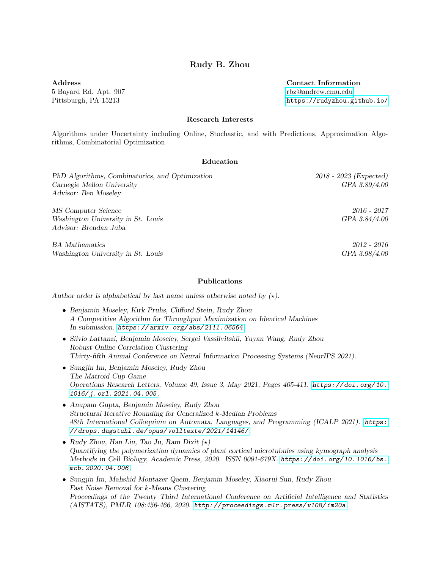# Rudy B. Zhou

Address 5 Bayard Rd. Apt. 907 Pittsburgh, PA 15213

Contact Information [rbz@andrew.cmu.edu](mailto:rbz@andrew.cmu.edu) <https://rudyzhou.github.io/>

#### Research Interests

Algorithms under Uncertainty including Online, Stochastic, and with Predictions, Approximation Algorithms, Combinatorial Optimization

## Education

PhD Algorithms, Combinatorics, and Optimization 2018 - 2023 (Expected) Carnegie Mellon University GPA 3.89/4.00 Advisor: Ben Moseley MS Computer Science 2016 - 2017 Washington University in St. Louis GPA 3.84/4.00 Advisor: Brendan Juba BA Mathematics 2012 - 2016 Washington University in St. Louis GPA 3.98/4.00

#### Publications

Author order is alphabetical by last name unless otherwise noted by  $(\star)$ .

- Benjamin Moseley, Kirk Pruhs, Clifford Stein, Rudy Zhou A Competitive Algorithm for Throughput Maximization on Identical Machines In submission. [https: // arxiv. org/ abs/ 2111. 06564](https://arxiv.org/abs/2111.06564)
- Silvio Lattanzi, Benjamin Moseley, Sergei Vassilvitskii, Yuyan Wang, Rudy Zhou Robust Online Correlation Clustering Thirty-fifth Annual Conference on Neural Information Processing Systems (NeurIPS 2021).
- Sungjin Im, Benjamin Moseley, Rudy Zhou The Matroid Cup Game Operations Research Letters, Volume 49, Issue 3, May 2021, Pages 405-411. [https: // doi. org/ 10.](https://doi.org/10.1016/j.orl.2021.04.005) [1016/ j. orl. 2021. 04. 005](https://doi.org/10.1016/j.orl.2021.04.005).
- Anupam Gupta, Benjamin Moseley, Rudy Zhou Structural Iterative Rounding for Generalized k-Median Problems 48th International Colloquium on Automata, Languages, and Programming (ICALP 2021). [https:](https://drops.dagstuhl.de/opus/volltexte/2021/14146/) [// drops. dagstuhl. de/ opus/ volltexte/ 2021/ 14146/](https://drops.dagstuhl.de/opus/volltexte/2021/14146/).
- Rudy Zhou, Han Liu, Tao Ju, Ram Dixit  $(\star)$ Quantifying the polymerization dynamics of plant cortical microtubules using kymograph analysis Methods in Cell Biology, Academic Press, 2020. ISSN 0091-679X. [https: // doi. org/ 10. 1016/ bs.](https://doi.org/10.1016/bs.mcb.2020.04.006) [mcb. 2020. 04. 006](https://doi.org/10.1016/bs.mcb.2020.04.006).
- Sungjin Im, Mahshid Montazer Qaem, Benjamin Moseley, Xiaorui Sun, Rudy Zhou Fast Noise Removal for k-Means Clustering Proceedings of the Twenty Third International Conference on Artificial Intelligence and Statistics (AISTATS), PMLR 108:456-466, 2020. [http: // proceedings. mlr. press/ v108/ im20a](http://proceedings.mlr.press/v108/im20a).